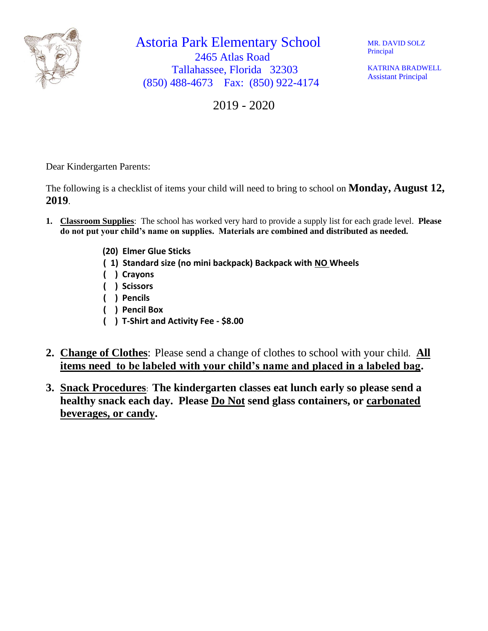

Astoria Park Elementary School 2465 Atlas Road Tallahassee, Florida 32303 (850) 488-4673 Fax: (850) 922-4174

MR. DAVID SOLZ Principal

KATRINA BRADWELL Assistant Principal

2019 - 2020

Dear Kindergarten Parents:

The following is a checklist of items your child will need to bring to school on **Monday, August 12, 2019**.

- **1. Classroom Supplies**: The school has worked very hard to provide a supply list for each grade level. **Please do not put your child's name on supplies. Materials are combined and distributed as needed.**
	- **(20) Elmer Glue Sticks**
	- **( 1) Standard size (no mini backpack) Backpack with NO Wheels**
	- **( ) Crayons**
	- **( ) Scissors**
	- **( ) Pencils**
	- **( ) Pencil Box**
	- **( ) T-Shirt and Activity Fee - \$8.00**
- **2. Change of Clothes**: Please send a change of clothes to school with your child. **All items need to be labeled with your child's name and placed in a labeled bag.**
- **3. Snack Procedures**: **The kindergarten classes eat lunch early so please send a healthy snack each day. Please Do Not send glass containers, or carbonated beverages, or candy.**